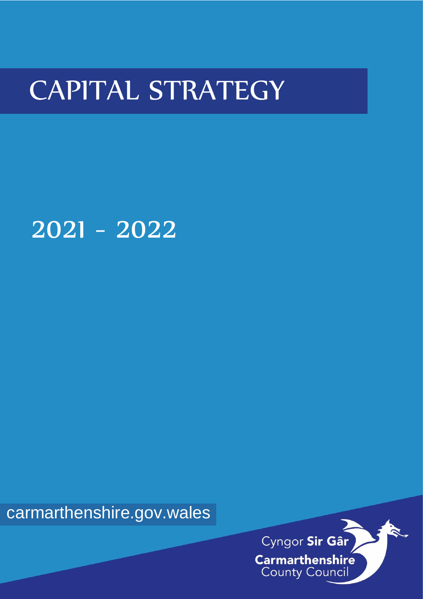# CAPITAL STRATEGY

# 2021 - 2022

carmarthenshire.gov.wales

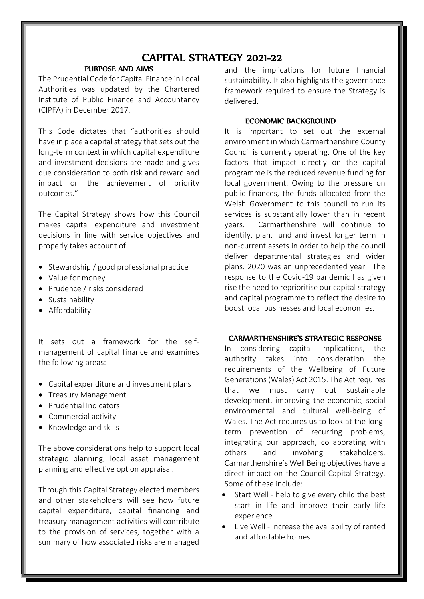### CAPITAL STRATEGY 2021-22

#### PURPOSE AND AIMS

The Prudential Code for Capital Finance in Local Authorities was updated by the Chartered Institute of Public Finance and Accountancy (CIPFA) in December 2017.

This Code dictates that "authorities should have in place a capital strategy that sets out the long-term context in which capital expenditure and investment decisions are made and gives due consideration to both risk and reward and impact on the achievement of priority outcomes."

The Capital Strategy shows how this Council makes capital expenditure and investment decisions in line with service objectives and properly takes account of:

- Stewardship / good professional practice
- Value for money
- Prudence / risks considered
- **•** Sustainability
- **•** Affordability

It sets out a framework for the selfmanagement of capital finance and examines the following areas:

- Capital expenditure and investment plans
- Treasury Management
- Prudential Indicators
- Commercial activity
- Knowledge and skills

The above considerations help to support local strategic planning, local asset management planning and effective option appraisal.

Through this Capital Strategy elected members and other stakeholders will see how future capital expenditure, capital financing and treasury management activities will contribute to the provision of services, together with a summary of how associated risks are managed

and the implications for future financial sustainability. It also highlights the governance framework required to ensure the Strategy is delivered.

#### ECONOMIC BACKGROUND

It is important to set out the external environment in which Carmarthenshire County Council is currently operating. One of the key factors that impact directly on the capital programme is the reduced revenue funding for local government. Owing to the pressure on public finances, the funds allocated from the Welsh Government to this council to run its services is substantially lower than in recent years. Carmarthenshire will continue to identify, plan, fund and invest longer term in non-current assets in order to help the council deliver departmental strategies and wider plans. 2020 was an unprecedented year. The response to the Covid-19 pandemic has given rise the need to reprioritise our capital strategy and capital programme to reflect the desire to boost local businesses and local economies.

#### CARMARTHENSHIRE'S STRATEGIC RESPONSE

In considering capital implications, the authority takes into consideration the requirements of the Wellbeing of Future Generations (Wales) Act 2015. The Act requires that we must carry out sustainable development, improving the economic, social environmental and cultural well-being of Wales. The Act requires us to look at the longterm prevention of recurring problems, integrating our approach, collaborating with others and involving stakeholders. Carmarthenshire's Well Being objectives have a direct impact on the Council Capital Strategy. Some of these include:

- Start Well help to give every child the best start in life and improve their early life experience
- Live Well increase the availability of rented and affordable homes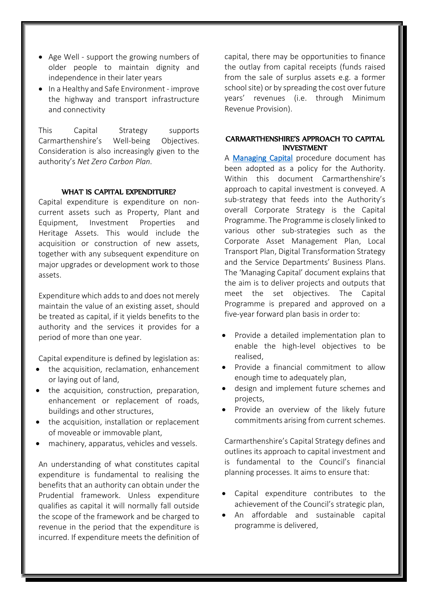- Age Well support the growing numbers of older people to maintain dignity and independence in their later years
- In a Healthy and Safe Environment improve the highway and transport infrastructure and connectivity

This Capital Strategy supports Carmarthenshire's Well-being Objectives. Consideration is also increasingly given to the authority's *Net Zero Carbon Plan.*

#### WHAT IS CAPITAL EXPENDITURE?

Capital expenditure is expenditure on noncurrent assets such as Property, Plant and Equipment, Investment Properties and Heritage Assets. This would include the acquisition or construction of new assets, together with any subsequent expenditure on major upgrades or development work to those assets.

Expenditure which adds to and does not merely maintain the value of an existing asset, should be treated as capital, if it yields benefits to the authority and the services it provides for a period of more than one year.

Capital expenditure is defined by legislation as:

- the acquisition, reclamation, enhancement or laying out of land,
- the acquisition, construction, preparation, enhancement or replacement of roads, buildings and other structures,
- the acquisition, installation or replacement of moveable or immovable plant,
- machinery, apparatus, vehicles and vessels.

An understanding of what constitutes capital expenditure is fundamental to realising the benefits that an authority can obtain under the Prudential framework. Unless expenditure qualifies as capital it will normally fall outside the scope of the framework and be charged to revenue in the period that the expenditure is incurred. If expenditure meets the definition of capital, there may be opportunities to finance the outlay from capital receipts (funds raised from the sale of surplus assets e.g. a former school site) or by spreading the cost over future years' revenues (i.e. through Minimum Revenue Provision).

#### CARMARTHENSHIRE'S APPROACH TO CAPITAL **INVESTMENT**

A [Managing Capital](http://intranet/media/485699/managing-capital.pdf) procedure document has been adopted as a policy for the Authority. Within this document Carmarthenshire's approach to capital investment is conveyed. A sub-strategy that feeds into the Authority's overall Corporate Strategy is the Capital Programme. The Programme is closely linked to various other sub-strategies such as the Corporate Asset Management Plan, Local Transport Plan, Digital Transformation Strategy and the Service Departments' Business Plans. The 'Managing Capital' document explains that the aim is to deliver projects and outputs that meet the set objectives. The Capital Programme is prepared and approved on a five-year forward plan basis in order to:

- Provide a detailed implementation plan to enable the high-level objectives to be realised,
- Provide a financial commitment to allow enough time to adequately plan,
- design and implement future schemes and projects,
- Provide an overview of the likely future commitments arising from current schemes.

Carmarthenshire's Capital Strategy defines and outlines its approach to capital investment and is fundamental to the Council's financial planning processes. It aims to ensure that:

- Capital expenditure contributes to the achievement of the Council's strategic plan,
- An affordable and sustainable capital programme is delivered,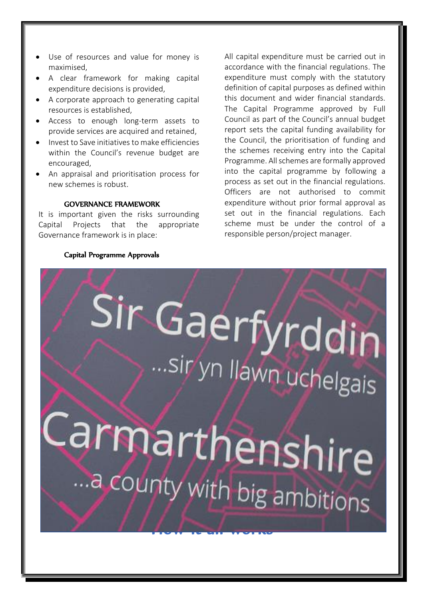- Use of resources and value for money is maximised,
- A clear framework for making capital expenditure decisions is provided,
- A corporate approach to generating capital resources is established,
- Access to enough long-term assets to provide services are acquired and retained,
- Invest to Save initiatives to make efficiencies within the Council's revenue budget are encouraged,
- An appraisal and prioritisation process for new schemes is robust.

#### GOVERNANCE FRAMEWORK

It is important given the risks surrounding Capital Projects that the appropriate Governance framework is in place:

All capital expenditure must be carried out in accordance with the financial regulations. The expenditure must comply with the statutory definition of capital purposes as defined within this document and wider financial standards. The Capital Programme approved by Full Council as part of the Council's annual budget report sets the capital funding availability for the Council, the prioritisation of funding and the schemes receiving entry into the Capital Programme. All schemes are formally approved into the capital programme by following a process as set out in the financial regulations. Officers are not authorised to commit expenditure without prior formal approval as set out in the financial regulations. Each scheme must be under the control of a responsible person/project manager.

#### Capital Programme Approvals

# Ì  $\ddot{\phantom{0}}$ J ļ **September**  $\mathbf{r}$ I l Q J ļ Į ï  $H \sim I$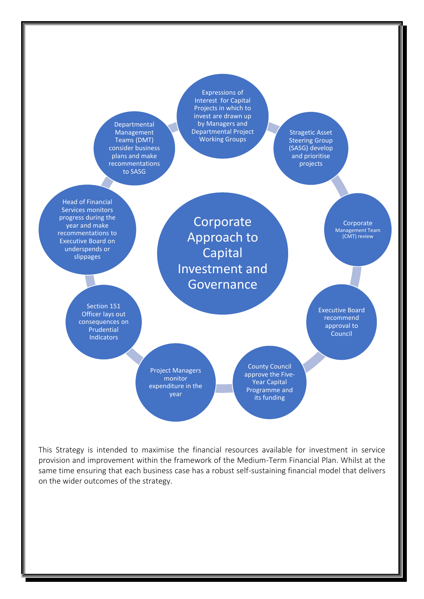

This Strategy is intended to maximise the financial resources available for investment in service provision and improvement within the framework of the Medium-Term Financial Plan. Whilst at the same time ensuring that each business case has a robust self-sustaining financial model that delivers on the wider outcomes of the strategy.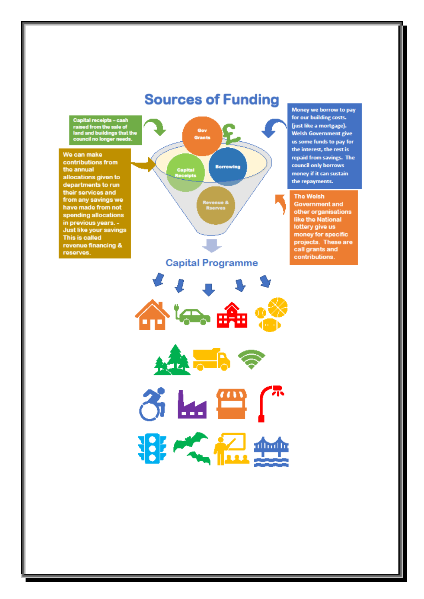## **Sources of Funding**

apital receipts – cash<br>aised from the sale of<br>and and buildings that the<br>ouncil no longer needs.

We can make contributions from the annual allocations given to departments to run their services and from any savings we have made from not spending allocations in previous years. -Just like your savings This is called revenue financing & reserves.



Money we borrow to pay for our building costs. (just like a mortgage). **Welsh Government give** us some funds to pay for the interest, the rest is repaid from savings. The council only borrows money if it can sustain the repayments.

#### **The Welsh**

**Government and** other organisations<br>like the National lottery give us money for specific projects. These are call grants and contributions.





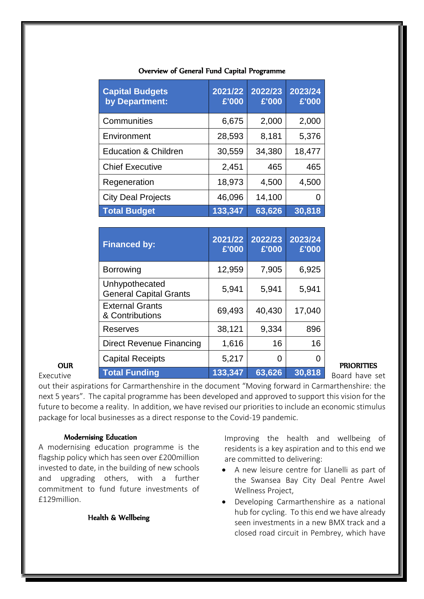| <b>Capital Budgets</b><br>by Department: | 2021/22<br>£'000 | 2022/23<br>£'000 | 2023/24<br>£'000 |
|------------------------------------------|------------------|------------------|------------------|
| Communities                              | 6,675            | 2,000            | 2,000            |
| Environment                              | 28,593           | 8,181            | 5,376            |
| <b>Education &amp; Children</b>          | 30,559           | 34,380           | 18,477           |
| <b>Chief Executive</b>                   | 2,451            | 465              | 465              |
| Regeneration                             | 18,973           | 4,500            | 4,500            |
| <b>City Deal Projects</b>                | 46,096           | 14,100           |                  |
| <b>Total Budget</b>                      | 133,347          | 63,626           | 30,818           |

#### Overview of General Fund Capital Programme

|            | <b>Financed by:</b>                             | 2021/22<br>£'000 | 2022/23<br>£'000 | 2023/24<br>£'000 |
|------------|-------------------------------------------------|------------------|------------------|------------------|
|            | <b>Borrowing</b>                                | 12,959           | 7,905            | 6,925            |
|            | Unhypothecated<br><b>General Capital Grants</b> | 5,941            | 5,941            | 5,941            |
|            | <b>External Grants</b><br>& Contributions       | 69,493           | 40,430           | 17,040           |
|            | Reserves                                        | 38,121           | 9,334            | 896              |
|            | Direct Revenue Financing                        | 1,616            | 16               | 16               |
| <b>OUR</b> | <b>Capital Receipts</b>                         | 5,217            | 0                | $\overline{0}$   |
| Executive  | <b>Total Funding</b>                            | 133,347          | 63,626           | 30,818           |

out their aspirations for Carmarthenshire in the document "Moving forward in Carmarthenshire: the next 5 years". The capital programme has been developed and approved to support this vision for the future to become a reality. In addition, we have revised our priorities to include an economic stimulus package for local businesses as a direct response to the Covid-19 pandemic.

### Modernising Education

A modernising education programme is the flagship policy which has seen over £200million invested to date, in the building of new schools and upgrading others, with a further commitment to fund future investments of £129million.

Health & Wellbeing

Improving the health and wellbeing of residents is a key aspiration and to this end we are committed to delivering:

- A new leisure centre for Llanelli as part of the Swansea Bay City Deal Pentre Awel Wellness Project,
- Developing Carmarthenshire as a national hub for cycling. To this end we have already seen investments in a new BMX track and a closed road circuit in Pembrey, which have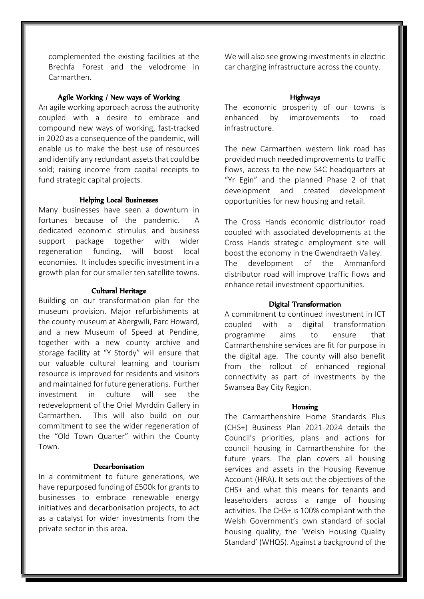complemented the existing facilities at the Brechfa Forest and the velodrome in Carmarthen.

#### Agile Working / New ways of Working

An agile working approach across the authority coupled with a desire to embrace and compound new ways of working, fast-tracked in 2020 as a consequence of the pandemic, will enable us to make the best use of resources and identify any redundant assets that could be sold; raising income from capital receipts to fund strategic capital projects.

#### Helping Local Businesses

Many businesses have seen a downturn in fortunes because of the pandemic. A dedicated economic stimulus and business support package together with wider regeneration funding, will boost local economies. It includes specific investment in a growth plan for our smaller ten satellite towns.

#### Cultural Heritage

Building on our transformation plan for the museum provision. Major refurbishments at the county museum at Abergwili, Parc Howard, and a new Museum of Speed at Pendine, together with a new county archive and storage facility at "Y Stordy" will ensure that our valuable cultural learning and tourism resource is improved for residents and visitors and maintained for future generations. Further investment in culture will see the redevelopment of the Oriel Myrddin Gallery in Carmarthen. This will also build on our commitment to see the wider regeneration of the "Old Town Quarter" within the County Town.

#### Decarbonisation

In a commitment to future generations, we have repurposed funding of £500k for grants to businesses to embrace renewable energy initiatives and decarbonisation projects, to act as a catalyst for wider investments from the private sector in this area.

We will also see growing investments in electric car charging infrastructure across the county.

#### Highways

The economic prosperity of our towns is enhanced by improvements to road infrastructure.

The new Carmarthen western link road has provided much needed improvements to traffic flows, access to the new S4C headquarters at "Yr Egin" and the planned Phase 2 of that development and created development opportunities for new housing and retail.

The Cross Hands economic distributor road coupled with associated developments at the Cross Hands strategic employment site will boost the economy in the Gwendraeth Valley. The development of the Ammanford distributor road will improve traffic flows and enhance retail investment opportunities.

#### Digital Transformation

A commitment to continued investment in ICT coupled with a digital transformation programme aims to ensure that Carmarthenshire services are fit for purpose in the digital age. The county will also benefit from the rollout of enhanced regional connectivity as part of investments by the Swansea Bay City Region.

#### Housing

The Carmarthenshire Home Standards Plus (CHS+) Business Plan 2021-2024 details the Council's priorities, plans and actions for council housing in Carmarthenshire for the future years. The plan covers all housing services and assets in the Housing Revenue Account (HRA). It sets out the objectives of the CHS+ and what this means for tenants and leaseholders across a range of housing activities. The CHS+ is 100% compliant with the Welsh Government's own standard of social housing quality, the 'Welsh Housing Quality Standard' (WHQS). Against a background of the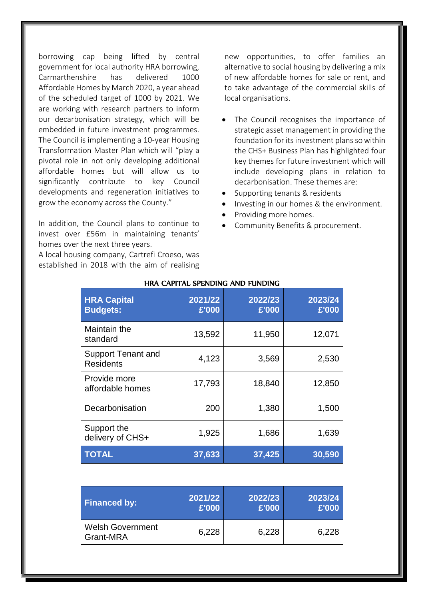borrowing cap being lifted by central government for local authority HRA borrowing, Carmarthenshire has delivered 1000 Affordable Homes by March 2020, a year ahead of the scheduled target of 1000 by 2021. We are working with research partners to inform our decarbonisation strategy, which will be embedded in future investment programmes. The Council is implementing a 10-year Housing Transformation Master Plan which will "play a pivotal role in not only developing additional affordable homes but will allow us to significantly contribute to key Council developments and regeneration initiatives to grow the economy across the County."

In addition, the Council plans to continue to invest over £56m in maintaining tenants' homes over the next three years.

A local housing company, Cartrefi Croeso, was established in 2018 with the aim of realising new opportunities, to offer families an alternative to social housing by delivering a mix of new affordable homes for sale or rent, and to take advantage of the commercial skills of local organisations.

- The Council recognises the importance of strategic asset management in providing the foundation for its investment plans so within the CHS+ Business Plan has highlighted four key themes for future investment which will include developing plans in relation to decarbonisation. These themes are:
- Supporting tenants & residents
- Investing in our homes & the environment.
- Providing more homes.
- Community Benefits & procurement.

| <b>HRA Capital</b><br><b>Budgets:</b>         | 2021/22<br>£'000 | 2022/23<br>£'000 | 2023/24<br>£'000 |
|-----------------------------------------------|------------------|------------------|------------------|
| Maintain the<br>standard                      | 13,592           | 11,950           | 12,071           |
| <b>Support Tenant and</b><br><b>Residents</b> | 4,123            | 3,569            | 2,530            |
| Provide more<br>affordable homes              | 17,793           | 18,840           | 12,850           |
| Decarbonisation                               | 200              | 1,380            | 1,500            |
| Support the<br>delivery of CHS+               | 1,925            | 1,686            | 1,639            |
| <b>TOTAL</b>                                  | 37,633           | 37,425           | 30,590           |

#### HRA CAPITAL SPENDING AND FUNDING

| <b>Financed by:</b>                  | 2021/22 | 2022/23 | 2023/24 |
|--------------------------------------|---------|---------|---------|
|                                      | £'000   | £'000   | £'000   |
| <b>Welsh Government</b><br>Grant-MRA | 6,228   | 6,228   | 6,228   |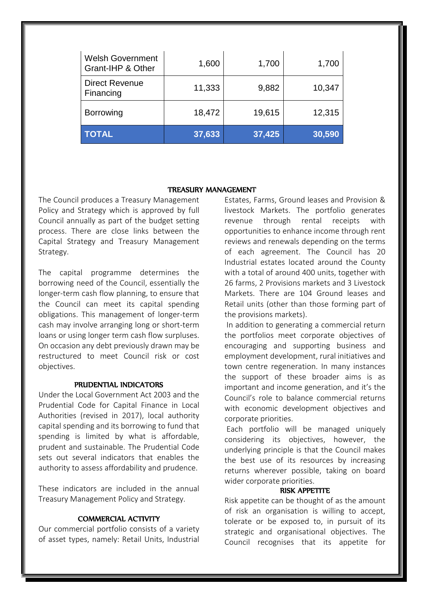| <b>Welsh Government</b><br>Grant-IHP & Other | 1,600  | 1,700  | 1,700  |
|----------------------------------------------|--------|--------|--------|
| <b>Direct Revenue</b><br>Financing           | 11,333 | 9,882  | 10,347 |
| <b>Borrowing</b>                             | 18,472 | 19,615 | 12,315 |
| <b>TOTAL</b>                                 | 37,633 | 37,425 | 30,590 |

#### TREASURY MANAGEMENT

The Council produces a Treasury Management Policy and Strategy which is approved by full Council annually as part of the budget setting process. There are close links between the Capital Strategy and Treasury Management Strategy.

The capital programme determines the borrowing need of the Council, essentially the longer-term cash flow planning, to ensure that the Council can meet its capital spending obligations. This management of longer-term cash may involve arranging long or short-term loans or using longer term cash flow surpluses. On occasion any debt previously drawn may be restructured to meet Council risk or cost objectives.

#### PRUDENTIAL INDICATORS

Under the Local Government Act 2003 and the Prudential Code for Capital Finance in Local Authorities (revised in 2017), local authority capital spending and its borrowing to fund that spending is limited by what is affordable, prudent and sustainable. The Prudential Code sets out several indicators that enables the authority to assess affordability and prudence.

These indicators are included in the annual Treasury Management Policy and Strategy.

#### COMMERCIAL ACTIVITY

Our commercial portfolio consists of a variety of asset types, namely: Retail Units, Industrial

Estates, Farms, Ground leases and Provision & livestock Markets. The portfolio generates revenue through rental receipts with opportunities to enhance income through rent reviews and renewals depending on the terms of each agreement. The Council has 20 Industrial estates located around the County with a total of around 400 units, together with 26 farms, 2 Provisions markets and 3 Livestock Markets. There are 104 Ground leases and Retail units (other than those forming part of the provisions markets).

In addition to generating a commercial return the portfolios meet corporate objectives of encouraging and supporting business and employment development, rural initiatives and town centre regeneration. In many instances the support of these broader aims is as important and income generation, and it's the Council's role to balance commercial returns with economic development objectives and corporate priorities.

Each portfolio will be managed uniquely considering its objectives, however, the underlying principle is that the Council makes the best use of its resources by increasing returns wherever possible, taking on board wider corporate priorities.

#### RISK APPETITE

Risk appetite can be thought of as the amount of risk an organisation is willing to accept, tolerate or be exposed to, in pursuit of its strategic and organisational objectives. The Council recognises that its appetite for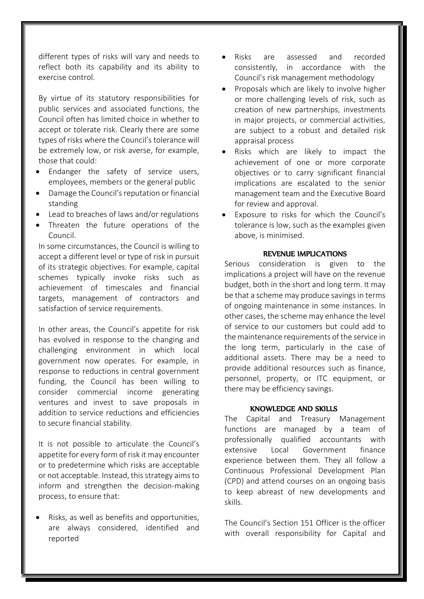different types of risks will vary and needs to reflect both its capability and its ability to exercise control.

By virtue of its statutory responsibilities for public services and associated functions, the Council often has limited choice in whether to accept or tolerate risk. Clearly there are some types of risks where the Council's tolerance will be extremely low, or risk averse, for example, those that could:

- Endanger the safety of service users, employees, members or the general public
- Damage the Council's reputation or financial standing
- Lead to breaches of laws and/or regulations
- Threaten the future operations of the Council.

In some circumstances, the Council is willing to accept a different level or type of risk in pursuit of its strategic objectives. For example, capital schemes typically invoke risks such as achievement of timescales and financial targets, management of contractors and satisfaction of service requirements.

In other areas, the Council's appetite for risk has evolved in response to the changing and challenging environment in which local government now operates. For example, in response to reductions in central government funding, the Council has been willing to consider commercial income generating ventures and invest to save proposals in addition to service reductions and efficiencies to secure financial stability.

It is not possible to articulate the Council's appetite for every form of risk it may encounter or to predetermine which risks are acceptable or not acceptable. Instead, this strategy aims to inform and strengthen the decision-making process, to ensure that:

 Risks, as well as benefits and opportunities, are always considered, identified and reported

- Risks are assessed and recorded consistently, in accordance with the Council's risk management methodology
- Proposals which are likely to involve higher or more challenging levels of risk, such as creation of new partnerships, investments in major projects, or commercial activities, are subject to a robust and detailed risk appraisal process
- Risks which are likely to impact the achievement of one or more corporate objectives or to carry significant financial implications are escalated to the senior management team and the Executive Board for review and approval.
- Exposure to risks for which the Council's tolerance is low, such as the examples given above, is minimised.

#### REVENUE IMPLICATIONS

Serious consideration is given to the implications a project will have on the revenue budget, both in the short and long term. It may be that a scheme may produce savings in terms of ongoing maintenance in some instances. In other cases, the scheme may enhance the level of service to our customers but could add to the maintenance requirements of the service in the long term, particularly in the case of additional assets. There may be a need to provide additional resources such as finance, personnel, property, or ITC equipment, or there may be efficiency savings.

#### KNOWLEDGE AND SKILLS

The Capital and Treasury Management functions are managed by a team of professionally qualified accountants with extensive Local Government finance experience between them. They all follow a Continuous Professional Development Plan (CPD) and attend courses on an ongoing basis to keep abreast of new developments and skills.

The Council's Section 151 Officer is the officer with overall responsibility for Capital and